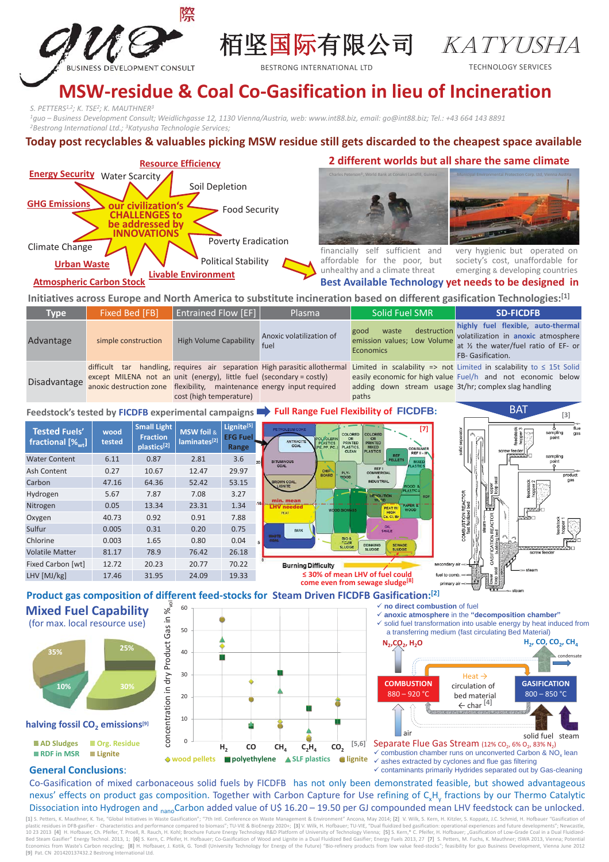

栢坚国际有限公司 KATYUSHA

BESTRONG INTERNATIONAL ITD TECHNOLOGY SERVICES

# **MSW-residue & Coal Co-Gasification in lieu of Incineration**

*S. PETTERS1,2; K. TSE2; K. MAUTHNER3*

<sup>1</sup>guo – Business Development Consult; Weidlichgasse 12, 1130 Vienna/Austria, web: www.int88.biz, email: go@int88.biz; Tel.: +43 664 143 8891<br><sup>2</sup>Bestrong International Ltd.; <sup>3</sup>Katyusha Technologie Services;

### **Today post recyclables & valuables picking MSW residue still gets discarded to the cheapest space available**



### **2 different worlds but all share the same climate**

**Best Available Technology yet needs to be designed in**



financially self sufficient and affordable for the poor, but unhealthy and a climate threat

very hygienic but operated on society's cost, unaffordable for emerging & developing countries

**[3]**

## **Atmospheric Carbon Stock**

**Initiatives across Europe and North America to substitute incineration based on different gasification Technologies:[1]**

| Type                                                                                                         | Fixed Bed [FB]      | <b>Entrained Flow [EF]</b>                                                                                                                                                | Plasma                           | <b>Solid Fuel SMR</b>                                                           | <b>SD-FICDFB</b>                                                                                                                                                                                                    |
|--------------------------------------------------------------------------------------------------------------|---------------------|---------------------------------------------------------------------------------------------------------------------------------------------------------------------------|----------------------------------|---------------------------------------------------------------------------------|---------------------------------------------------------------------------------------------------------------------------------------------------------------------------------------------------------------------|
| Advantage                                                                                                    | simple construction | <b>High Volume Capability</b>                                                                                                                                             | Anoxic volatilization of<br>fuel | destruction<br>good<br>waste<br>emission values; Low Volume<br><b>Economics</b> | highly fuel flexible, auto-thermal<br>volatilization in anoxic atmosphere<br>at 1/2 the water/fuel ratio of EF- or<br>FB- Gasification.                                                                             |
| Disadvantage                                                                                                 |                     | except MILENA not an unit (energy), little fuel (secondary = costly)<br>anoxic destruction zone flexibility, maintenance energy input required<br>cost (high temperature) |                                  | adding down stream usage 3t/hr; complex slag handling<br>paths                  | difficult tar handling, requires air separation High parasitic allothermal Limited in scalability => not Limited in scalability to $\leq$ 15t Solid<br>easily economic for high value Fuel/h and not economic below |
| RAT<br>Feedchaalde to the UCDED oversimpled compoints <b>Formation Full Dange Fuel Flovibility of FICDFR</b> |                     |                                                                                                                                                                           |                                  |                                                                                 |                                                                                                                                                                                                                     |

**Feedstock's tested by FICDFB experimental campaigns Full Range Fuel Flexibility of FICDFB:**





# vol **Mixed Fuel Capability Mixed Fuel** concentration in dry Product Gas in %  $\equiv$ (for max. local resource use) Gas concentration in dry Product **halving fossil CO2 emissions[9] halving 25% 35% 10% 30%**

**AD Sludges P** Org. Residue **RDF in MSR Lignite**





solid fuel steam air  $\checkmark$  combustion chamber runs on unconverted Carbon & NO<sub>x</sub> lean  $\checkmark$  ashes extracted by cyclones and flue gas filtering  $\checkmark$  contaminants primarily Hydrides separated out by Gas-cleaning Separate Flue Gas Stream (12% CO<sub>2</sub>, 6% O<sub>2</sub>, 83% N<sub>2</sub>)

### **General Conclusions**:

Co-Gasification of mixed carbonaceous solid fuels by FICDFB has not only been demonstrated feasible, but showed advantageous nexus' effects on product gas composition. Together with Carbon Capture for Use refining of C<sub>x</sub>H<sub>y</sub> fractions by our Thermo Catalytic Dissociation into Hydrogen and <sub>nano</sub>Carbon added value of U\$ 16.20 – 19.50 per GJ compounded mean LHV feedstock can be unlocked.

[1] S. Petters, K. Mauthner, K. Tse, "Global Initiatives in Waste Gasification"; "7th Intl. Conference on Waste Management & Environment" Ancona, May 2014; [2] V. Wilk, S. Kern, H. Kitzler, S. Koppatz, J.C. Schmid, H. Hofb 10 23 2013 [4] H. Hofbauer, Ch. Pfeifer, T. Proell, R. Rauch, H. Kohl; Brochure Future Energy Technology R&D Platform of University of Technology Vienna; [5] S. Kern,\* C. Pfeifer, H. Hofbauer; "Gasification of Low-Grade Co Economics from Waste's Carbon recycling; [8] H. Hofbauer, J. Kotik, G. Tondl (University Technology for Energy of the Future) "Bio-refinery products from low value feed-stocks"; feasibility for guo Business Development, Vi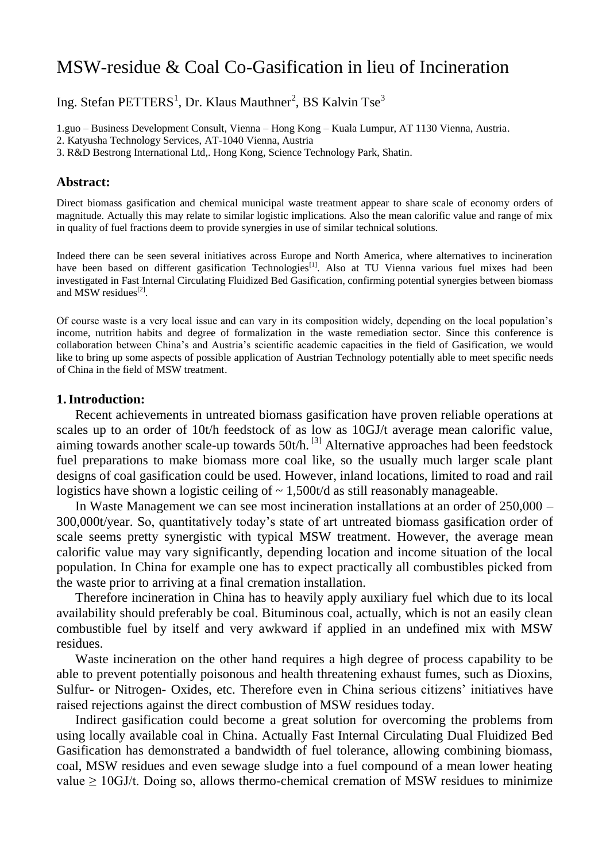# MSW-residue & Coal Co-Gasification in lieu of Incineration

Ing. Stefan  $PETTERS<sup>1</sup>$ , Dr. Klaus Mauthner<sup>2</sup>, BS Kalvin Tse<sup>3</sup>

1.guo – Business Development Consult, Vienna – Hong Kong – Kuala Lumpur, AT 1130 Vienna, Austria.

2. Katyusha Technology Services, AT-1040 Vienna, Austria

3. R&D Bestrong International Ltd,. Hong Kong, Science Technology Park, Shatin.

#### **Abstract:**

Direct biomass gasification and chemical municipal waste treatment appear to share scale of economy orders of magnitude. Actually this may relate to similar logistic implications. Also the mean calorific value and range of mix in quality of fuel fractions deem to provide synergies in use of similar technical solutions.

Indeed there can be seen several initiatives across Europe and North America, where alternatives to incineration have been based on different gasification Technologies<sup>[1]</sup>. Also at TU Vienna various fuel mixes had been investigated in Fast Internal Circulating Fluidized Bed Gasification, confirming potential synergies between biomass and MSW residues<sup>[2]</sup>.

Of course waste is a very local issue and can vary in its composition widely, depending on the local population's income, nutrition habits and degree of formalization in the waste remediation sector. Since this conference is collaboration between China's and Austria's scientific academic capacities in the field of Gasification, we would like to bring up some aspects of possible application of Austrian Technology potentially able to meet specific needs of China in the field of MSW treatment.

### **1.Introduction:**

Recent achievements in untreated biomass gasification have proven reliable operations at scales up to an order of 10t/h feedstock of as low as 10GJ/t average mean calorific value, aiming towards another scale-up towards 50t/h.<sup>[3]</sup> Alternative approaches had been feedstock fuel preparations to make biomass more coal like, so the usually much larger scale plant designs of coal gasification could be used. However, inland locations, limited to road and rail logistics have shown a logistic ceiling of  $\sim 1,500t/d$  as still reasonably manageable.

In Waste Management we can see most incineration installations at an order of 250,000 – 300,000t/year. So, quantitatively today's state of art untreated biomass gasification order of scale seems pretty synergistic with typical MSW treatment. However, the average mean calorific value may vary significantly, depending location and income situation of the local population. In China for example one has to expect practically all combustibles picked from the waste prior to arriving at a final cremation installation.

Therefore incineration in China has to heavily apply auxiliary fuel which due to its local availability should preferably be coal. Bituminous coal, actually, which is not an easily clean combustible fuel by itself and very awkward if applied in an undefined mix with MSW residues.

Waste incineration on the other hand requires a high degree of process capability to be able to prevent potentially poisonous and health threatening exhaust fumes, such as Dioxins, Sulfur- or Nitrogen- Oxides, etc. Therefore even in China serious citizens' initiatives have raised rejections against the direct combustion of MSW residues today.

Indirect gasification could become a great solution for overcoming the problems from using locally available coal in China. Actually Fast Internal Circulating Dual Fluidized Bed Gasification has demonstrated a bandwidth of fuel tolerance, allowing combining biomass, coal, MSW residues and even sewage sludge into a fuel compound of a mean lower heating value  $\geq 10$ GJ/t. Doing so, allows thermo-chemical cremation of MSW residues to minimize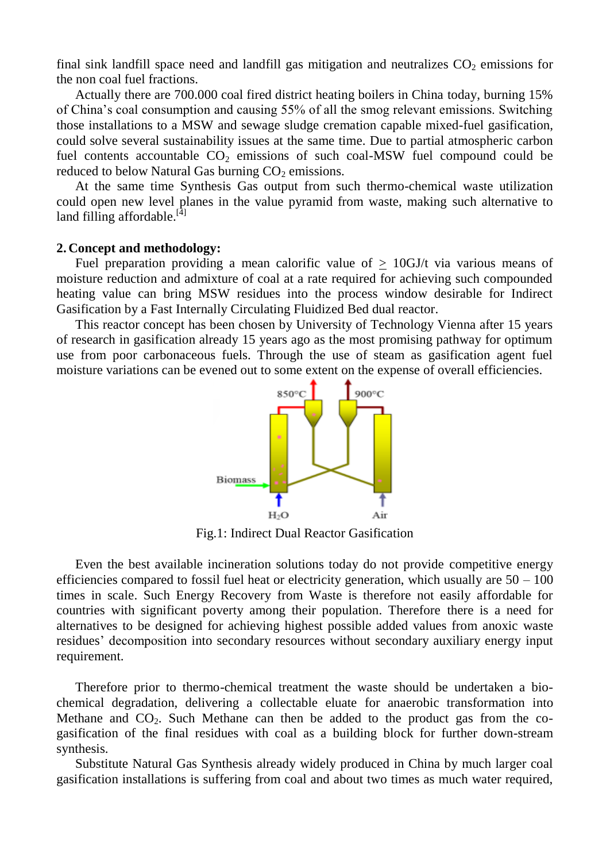final sink landfill space need and landfill gas mitigation and neutralizes  $CO<sub>2</sub>$  emissions for the non coal fuel fractions.

Actually there are 700.000 coal fired district heating boilers in China today, burning 15% of China's coal consumption and causing 55% of all the smog relevant emissions. Switching those installations to a MSW and sewage sludge cremation capable mixed-fuel gasification, could solve several sustainability issues at the same time. Due to partial atmospheric carbon fuel contents accountable  $CO<sub>2</sub>$  emissions of such coal-MSW fuel compound could be reduced to below Natural Gas burning  $CO<sub>2</sub>$  emissions.

At the same time Synthesis Gas output from such thermo-chemical waste utilization could open new level planes in the value pyramid from waste, making such alternative to land filling affordable. $[4]$ 

### **2. Concept and methodology:**

Fuel preparation providing a mean calorific value of  $> 10$ GJ/t via various means of moisture reduction and admixture of coal at a rate required for achieving such compounded heating value can bring MSW residues into the process window desirable for Indirect Gasification by a Fast Internally Circulating Fluidized Bed dual reactor.

This reactor concept has been chosen by University of Technology Vienna after 15 years of research in gasification already 15 years ago as the most promising pathway for optimum use from poor carbonaceous fuels. Through the use of steam as gasification agent fuel moisture variations can be evened out to some extent on the expense of overall efficiencies.



Fig.1: Indirect Dual Reactor Gasification

Even the best available incineration solutions today do not provide competitive energy efficiencies compared to fossil fuel heat or electricity generation, which usually are  $50 - 100$ times in scale. Such Energy Recovery from Waste is therefore not easily affordable for countries with significant poverty among their population. Therefore there is a need for alternatives to be designed for achieving highest possible added values from anoxic waste residues' decomposition into secondary resources without secondary auxiliary energy input requirement.

Therefore prior to thermo-chemical treatment the waste should be undertaken a biochemical degradation, delivering a collectable eluate for anaerobic transformation into Methane and  $CO<sub>2</sub>$ . Such Methane can then be added to the product gas from the cogasification of the final residues with coal as a building block for further down-stream synthesis.

Substitute Natural Gas Synthesis already widely produced in China by much larger coal gasification installations is suffering from coal and about two times as much water required,